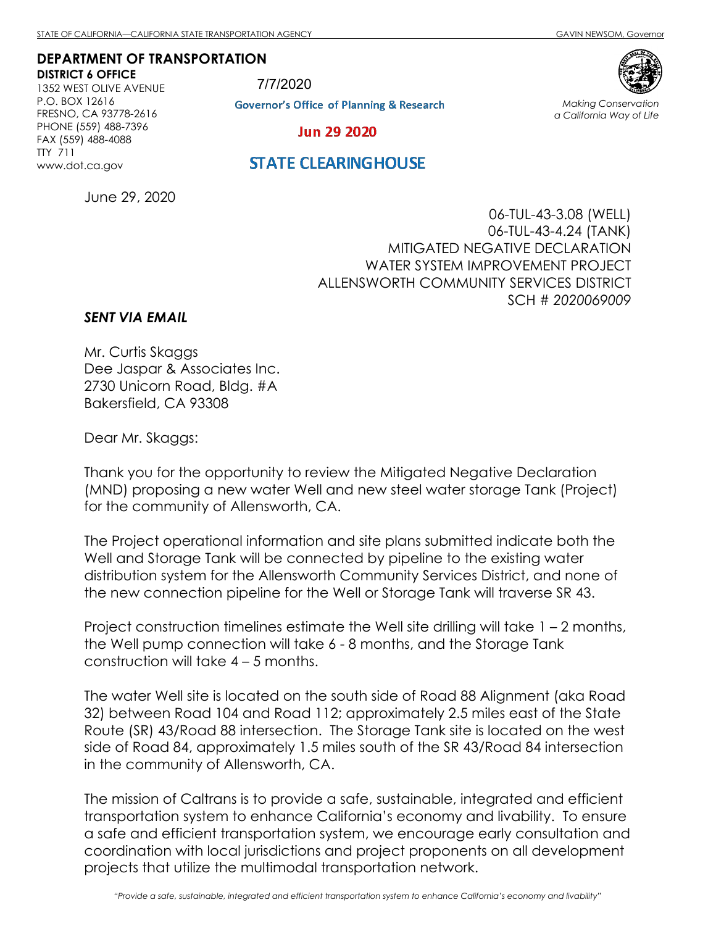**DEPARTMENT OF TRANSPORTATION DISTRICT 6 OFFICE**

1352 WEST OLIVE AVENUE P.O. BOX 12616 FRESNO, CA 93778-2616 PHONE (559) 488-7396 FAX (559) 488-4088 TTY 711 www.dot.ca.gov

7/7/2020**Governor's Office of Planning & Research** 



*Making Conservation a California Way of Life*

**Jun 29 2020** 

## **STATE CLEARINGHOUSE**

June 29, 2020

06-TUL-43-3.08 (WELL) 06-TUL-43-4.24 (TANK) MITIGATED NEGATIVE DECLARATION WATER SYSTEM IMPROVEMENT PROJECT ALLENSWORTH COMMUNITY SERVICES DISTRICT SCH # *2020069009*

## *SENT VIA EMAIL*

Mr. Curtis Skaggs Dee Jaspar & Associates Inc. 2730 Unicorn Road, Bldg. #A Bakersfield, CA 93308

Dear Mr. Skaggs:

Thank you for the opportunity to review the Mitigated Negative Declaration (MND) proposing a new water Well and new steel water storage Tank (Project) for the community of Allensworth, CA.

The Project operational information and site plans submitted indicate both the Well and Storage Tank will be connected by pipeline to the existing water distribution system for the Allensworth Community Services District, and none of the new connection pipeline for the Well or Storage Tank will traverse SR 43.

Project construction timelines estimate the Well site drilling will take 1 – 2 months, the Well pump connection will take 6 - 8 months, and the Storage Tank construction will take 4 – 5 months.

The water Well site is located on the south side of Road 88 Alignment (aka Road 32) between Road 104 and Road 112; approximately 2.5 miles east of the State Route (SR) 43/Road 88 intersection. The Storage Tank site is located on the west side of Road 84, approximately 1.5 miles south of the SR 43/Road 84 intersection in the community of Allensworth, CA.

The mission of Caltrans is to provide a safe, sustainable, integrated and efficient transportation system to enhance California's economy and livability. To ensure a safe and efficient transportation system, we encourage early consultation and coordination with local jurisdictions and project proponents on all development projects that utilize the multimodal transportation network.